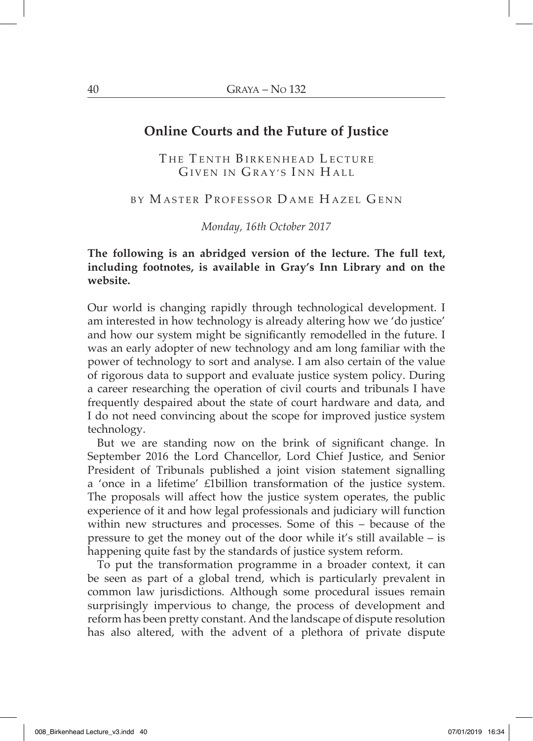# **Online Courts and the Future of Justice**

THE TENTH BIRKENHEAD LECTURE GIVEN IN GRAY'S INN HALL

### BY M ASTER P ROFESSOR D AME H AZEL G ENN

*Monday, 16th October 2017*

### **The following is an abridged version of the lecture. The full text, including footnotes, is available in Gray's Inn Library and on the website.**

Our world is changing rapidly through technological development. I am interested in how technology is already altering how we 'do justice' and how our system might be significantly remodelled in the future. I was an early adopter of new technology and am long familiar with the power of technology to sort and analyse. I am also certain of the value of rigorous data to support and evaluate justice system policy. During a career researching the operation of civil courts and tribunals I have frequently despaired about the state of court hardware and data, and I do not need convincing about the scope for improved justice system technology.

But we are standing now on the brink of significant change. In September 2016 the Lord Chancellor, Lord Chief Justice, and Senior President of Tribunals published a joint vision statement signalling a 'once in a lifetime' £1billion transformation of the justice system. The proposals will affect how the justice system operates, the public experience of it and how legal professionals and judiciary will function within new structures and processes. Some of this – because of the pressure to get the money out of the door while it's still available – is happening quite fast by the standards of justice system reform.

To put the transformation programme in a broader context, it can be seen as part of a global trend, which is particularly prevalent in common law jurisdictions. Although some procedural issues remain surprisingly impervious to change, the process of development and reform has been pretty constant. And the landscape of dispute resolution has also altered, with the advent of a plethora of private dispute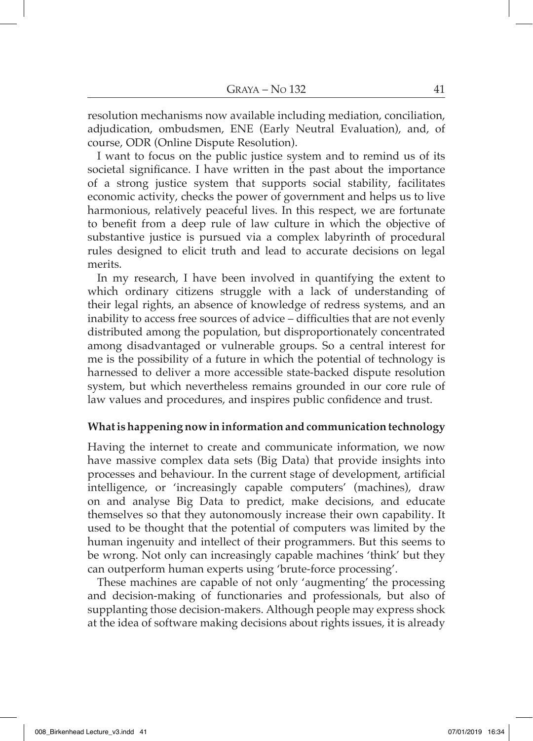resolution mechanisms now available including mediation, conciliation, adjudication, ombudsmen, ENE (Early Neutral Evaluation), and, of course, ODR (Online Dispute Resolution).

I want to focus on the public justice system and to remind us of its societal significance. I have written in the past about the importance of a strong justice system that supports social stability, facilitates economic activity, checks the power of government and helps us to live harmonious, relatively peaceful lives. In this respect, we are fortunate to benefit from a deep rule of law culture in which the objective of substantive justice is pursued via a complex labyrinth of procedural rules designed to elicit truth and lead to accurate decisions on legal merits.

In my research, I have been involved in quantifying the extent to which ordinary citizens struggle with a lack of understanding of their legal rights, an absence of knowledge of redress systems, and an inability to access free sources of advice – difficulties that are not evenly distributed among the population, but disproportionately concentrated among disadvantaged or vulnerable groups. So a central interest for me is the possibility of a future in which the potential of technology is harnessed to deliver a more accessible state-backed dispute resolution system, but which nevertheless remains grounded in our core rule of law values and procedures, and inspires public confidence and trust.

### **What is happening now in information and communication technology**

Having the internet to create and communicate information, we now have massive complex data sets (Big Data) that provide insights into processes and behaviour. In the current stage of development, artificial intelligence, or 'increasingly capable computers' (machines), draw on and analyse Big Data to predict, make decisions, and educate themselves so that they autonomously increase their own capability. It used to be thought that the potential of computers was limited by the human ingenuity and intellect of their programmers. But this seems to be wrong. Not only can increasingly capable machines 'think' but they can outperform human experts using 'brute-force processing'.

These machines are capable of not only 'augmenting' the processing and decision-making of functionaries and professionals, but also of supplanting those decision-makers. Although people may express shock at the idea of software making decisions about rights issues, it is already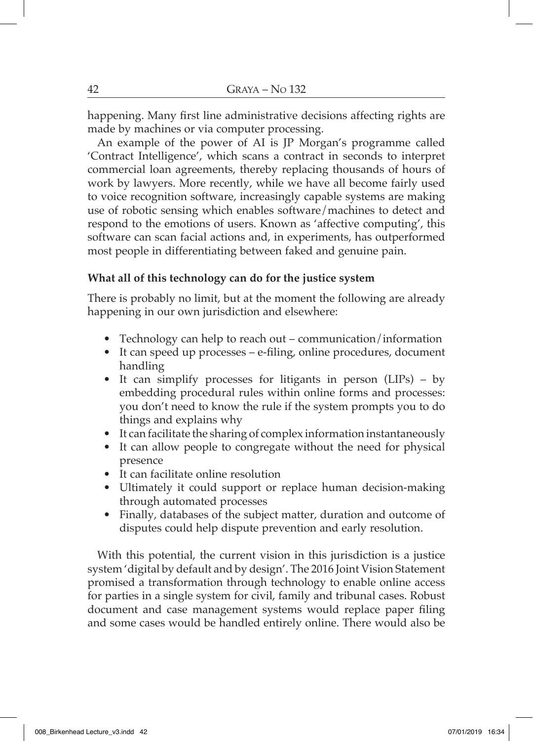happening. Many first line administrative decisions affecting rights are made by machines or via computer processing.

An example of the power of AI is JP Morgan's programme called 'Contract Intelligence', which scans a contract in seconds to interpret commercial loan agreements, thereby replacing thousands of hours of work by lawyers. More recently, while we have all become fairly used to voice recognition software, increasingly capable systems are making use of robotic sensing which enables software/machines to detect and respond to the emotions of users. Known as 'affective computing', this software can scan facial actions and, in experiments, has outperformed most people in differentiating between faked and genuine pain.

### **What all of this technology can do for the justice system**

There is probably no limit, but at the moment the following are already happening in our own jurisdiction and elsewhere:

- Technology can help to reach out communication/information
- It can speed up processes e-filing, online procedures, document handling
- It can simplify processes for litigants in person (LIPs) by embedding procedural rules within online forms and processes: you don't need to know the rule if the system prompts you to do things and explains why
- It can facilitate the sharing of complex information instantaneously
- It can allow people to congregate without the need for physical presence
- It can facilitate online resolution
- Ultimately it could support or replace human decision-making through automated processes
- Finally, databases of the subject matter, duration and outcome of disputes could help dispute prevention and early resolution.

With this potential, the current vision in this jurisdiction is a justice system 'digital by default and by design'. The 2016 Joint Vision Statement promised a transformation through technology to enable online access for parties in a single system for civil, family and tribunal cases. Robust document and case management systems would replace paper filing and some cases would be handled entirely online. There would also be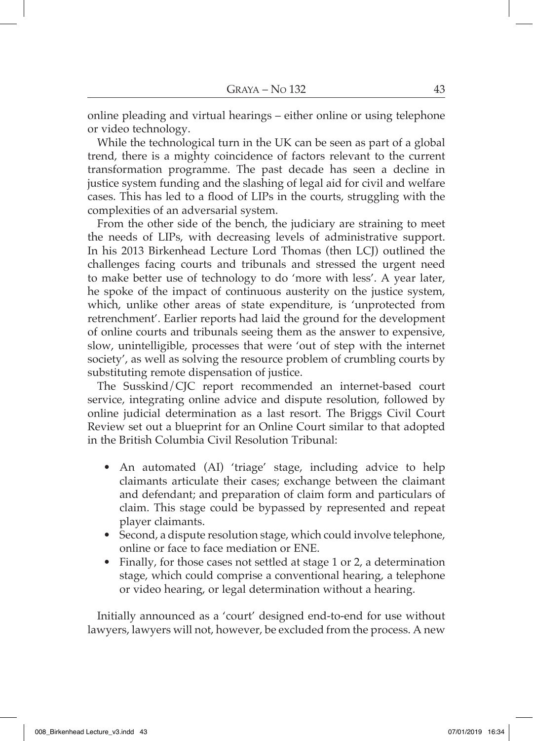online pleading and virtual hearings – either online or using telephone or video technology.

While the technological turn in the UK can be seen as part of a global trend, there is a mighty coincidence of factors relevant to the current transformation programme. The past decade has seen a decline in justice system funding and the slashing of legal aid for civil and welfare cases. This has led to a flood of LIPs in the courts, struggling with the complexities of an adversarial system.

From the other side of the bench, the judiciary are straining to meet the needs of LIPs, with decreasing levels of administrative support. In his 2013 Birkenhead Lecture Lord Thomas (then LCJ) outlined the challenges facing courts and tribunals and stressed the urgent need to make better use of technology to do 'more with less'. A year later, he spoke of the impact of continuous austerity on the justice system, which, unlike other areas of state expenditure, is 'unprotected from retrenchment'. Earlier reports had laid the ground for the development of online courts and tribunals seeing them as the answer to expensive, slow, unintelligible, processes that were 'out of step with the internet society', as well as solving the resource problem of crumbling courts by substituting remote dispensation of justice.

The Susskind/CJC report recommended an internet-based court service, integrating online advice and dispute resolution, followed by online judicial determination as a last resort. The Briggs Civil Court Review set out a blueprint for an Online Court similar to that adopted in the British Columbia Civil Resolution Tribunal:

- An automated (AI) 'triage' stage, including advice to help claimants articulate their cases; exchange between the claimant and defendant; and preparation of claim form and particulars of claim. This stage could be bypassed by represented and repeat player claimants.
- Second, a dispute resolution stage, which could involve telephone, online or face to face mediation or ENE.
- Finally, for those cases not settled at stage 1 or 2, a determination stage, which could comprise a conventional hearing, a telephone or video hearing, or legal determination without a hearing.

Initially announced as a 'court' designed end-to-end for use without lawyers, lawyers will not, however, be excluded from the process. A new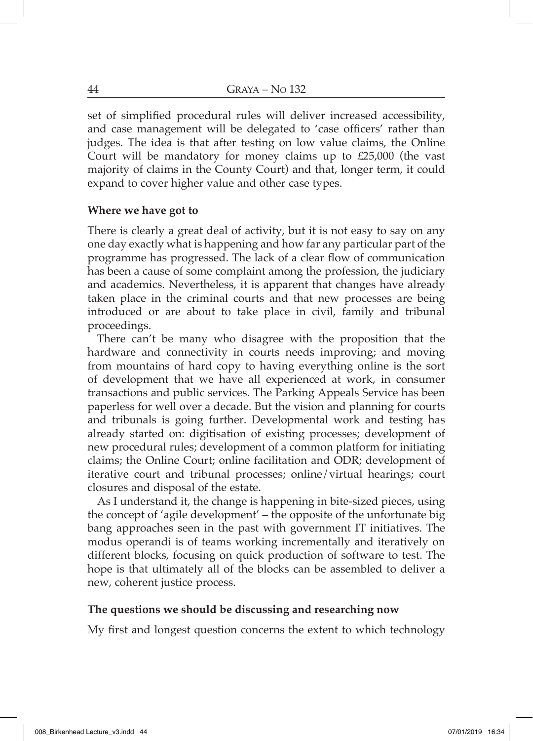set of simplified procedural rules will deliver increased accessibility, and case management will be delegated to 'case officers' rather than judges. The idea is that after testing on low value claims, the Online Court will be mandatory for money claims up to £25,000 (the vast majority of claims in the County Court) and that, longer term, it could expand to cover higher value and other case types.

### **Where we have got to**

There is clearly a great deal of activity, but it is not easy to say on any one day exactly what is happening and how far any particular part of the programme has progressed. The lack of a clear flow of communication has been a cause of some complaint among the profession, the judiciary and academics. Nevertheless, it is apparent that changes have already taken place in the criminal courts and that new processes are being introduced or are about to take place in civil, family and tribunal proceedings.

There can't be many who disagree with the proposition that the hardware and connectivity in courts needs improving; and moving from mountains of hard copy to having everything online is the sort of development that we have all experienced at work, in consumer transactions and public services. The Parking Appeals Service has been paperless for well over a decade. But the vision and planning for courts and tribunals is going further. Developmental work and testing has already started on: digitisation of existing processes; development of new procedural rules; development of a common platform for initiating claims; the Online Court; online facilitation and ODR; development of iterative court and tribunal processes; online/virtual hearings; court closures and disposal of the estate.

As I understand it, the change is happening in bite-sized pieces, using the concept of 'agile development' – the opposite of the unfortunate big bang approaches seen in the past with government IT initiatives. The modus operandi is of teams working incrementally and iteratively on different blocks, focusing on quick production of software to test. The hope is that ultimately all of the blocks can be assembled to deliver a new, coherent justice process.

### **The questions we should be discussing and researching now**

My first and longest question concerns the extent to which technology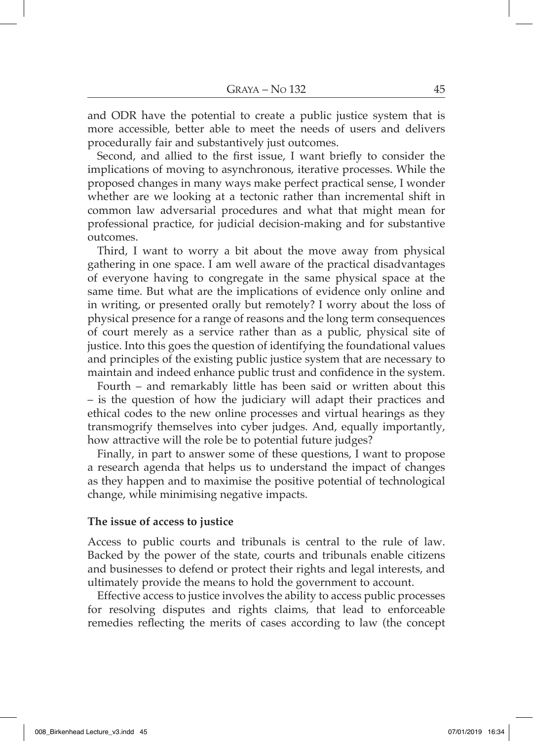and ODR have the potential to create a public justice system that is more accessible, better able to meet the needs of users and delivers procedurally fair and substantively just outcomes.

Second, and allied to the first issue, I want briefly to consider the implications of moving to asynchronous, iterative processes. While the proposed changes in many ways make perfect practical sense, I wonder whether are we looking at a tectonic rather than incremental shift in common law adversarial procedures and what that might mean for professional practice, for judicial decision-making and for substantive outcomes.

Third, I want to worry a bit about the move away from physical gathering in one space. I am well aware of the practical disadvantages of everyone having to congregate in the same physical space at the same time. But what are the implications of evidence only online and in writing, or presented orally but remotely? I worry about the loss of physical presence for a range of reasons and the long term consequences of court merely as a service rather than as a public, physical site of justice. Into this goes the question of identifying the foundational values and principles of the existing public justice system that are necessary to maintain and indeed enhance public trust and confidence in the system.

Fourth – and remarkably little has been said or written about this – is the question of how the judiciary will adapt their practices and ethical codes to the new online processes and virtual hearings as they transmogrify themselves into cyber judges. And, equally importantly, how attractive will the role be to potential future judges?

Finally, in part to answer some of these questions, I want to propose a research agenda that helps us to understand the impact of changes as they happen and to maximise the positive potential of technological change, while minimising negative impacts.

#### **The issue of access to justice**

Access to public courts and tribunals is central to the rule of law. Backed by the power of the state, courts and tribunals enable citizens and businesses to defend or protect their rights and legal interests, and ultimately provide the means to hold the government to account.

Effective access to justice involves the ability to access public processes for resolving disputes and rights claims, that lead to enforceable remedies reflecting the merits of cases according to law (the concept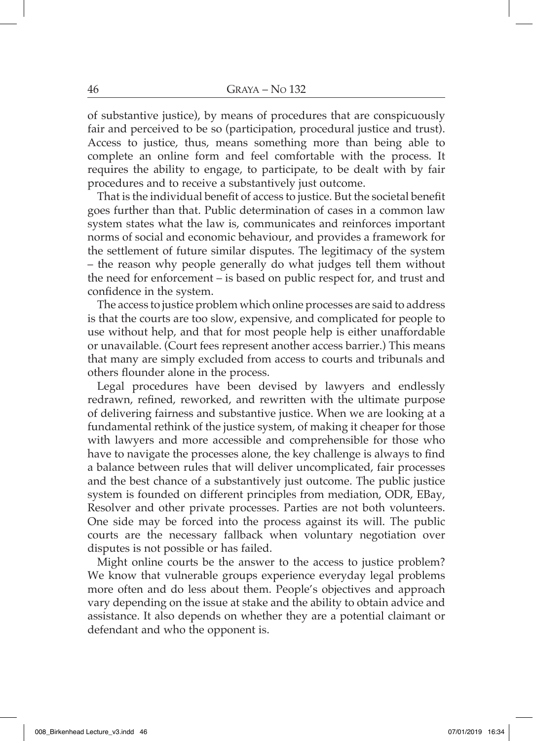of substantive justice), by means of procedures that are conspicuously fair and perceived to be so (participation, procedural justice and trust). Access to justice, thus, means something more than being able to complete an online form and feel comfortable with the process. It requires the ability to engage, to participate, to be dealt with by fair procedures and to receive a substantively just outcome.

That is the individual benefit of access to justice. But the societal benefit goes further than that. Public determination of cases in a common law system states what the law is, communicates and reinforces important norms of social and economic behaviour, and provides a framework for the settlement of future similar disputes. The legitimacy of the system – the reason why people generally do what judges tell them without the need for enforcement – is based on public respect for, and trust and confidence in the system.

The access to justice problem which online processes are said to address is that the courts are too slow, expensive, and complicated for people to use without help, and that for most people help is either unaffordable or unavailable. (Court fees represent another access barrier.) This means that many are simply excluded from access to courts and tribunals and others flounder alone in the process.

Legal procedures have been devised by lawyers and endlessly redrawn, refined, reworked, and rewritten with the ultimate purpose of delivering fairness and substantive justice. When we are looking at a fundamental rethink of the justice system, of making it cheaper for those with lawyers and more accessible and comprehensible for those who have to navigate the processes alone, the key challenge is always to find a balance between rules that will deliver uncomplicated, fair processes and the best chance of a substantively just outcome. The public justice system is founded on different principles from mediation, ODR, EBay, Resolver and other private processes. Parties are not both volunteers. One side may be forced into the process against its will. The public courts are the necessary fallback when voluntary negotiation over disputes is not possible or has failed.

Might online courts be the answer to the access to justice problem? We know that vulnerable groups experience everyday legal problems more often and do less about them. People's objectives and approach vary depending on the issue at stake and the ability to obtain advice and assistance. It also depends on whether they are a potential claimant or defendant and who the opponent is.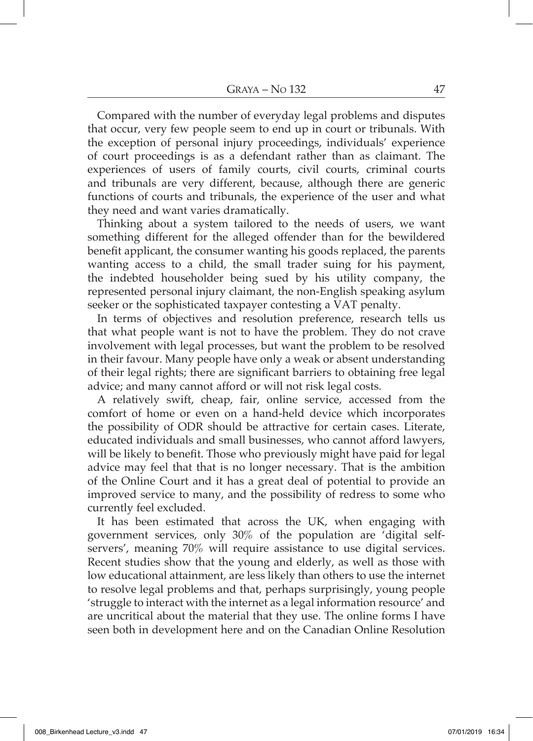Compared with the number of everyday legal problems and disputes that occur, very few people seem to end up in court or tribunals. With the exception of personal injury proceedings, individuals' experience of court proceedings is as a defendant rather than as claimant. The experiences of users of family courts, civil courts, criminal courts and tribunals are very different, because, although there are generic functions of courts and tribunals, the experience of the user and what they need and want varies dramatically.

Thinking about a system tailored to the needs of users, we want something different for the alleged offender than for the bewildered benefit applicant, the consumer wanting his goods replaced, the parents wanting access to a child, the small trader suing for his payment, the indebted householder being sued by his utility company, the represented personal injury claimant, the non-English speaking asylum seeker or the sophisticated taxpayer contesting a VAT penalty.

In terms of objectives and resolution preference, research tells us that what people want is not to have the problem. They do not crave involvement with legal processes, but want the problem to be resolved in their favour. Many people have only a weak or absent understanding of their legal rights; there are significant barriers to obtaining free legal advice; and many cannot afford or will not risk legal costs.

A relatively swift, cheap, fair, online service, accessed from the comfort of home or even on a hand-held device which incorporates the possibility of ODR should be attractive for certain cases. Literate, educated individuals and small businesses, who cannot afford lawyers, will be likely to benefit. Those who previously might have paid for legal advice may feel that that is no longer necessary. That is the ambition of the Online Court and it has a great deal of potential to provide an improved service to many, and the possibility of redress to some who currently feel excluded.

It has been estimated that across the UK, when engaging with government services, only 30% of the population are 'digital selfservers', meaning 70% will require assistance to use digital services. Recent studies show that the young and elderly, as well as those with low educational attainment, are less likely than others to use the internet to resolve legal problems and that, perhaps surprisingly, young people 'struggle to interact with the internet as a legal information resource' and are uncritical about the material that they use. The online forms I have seen both in development here and on the Canadian Online Resolution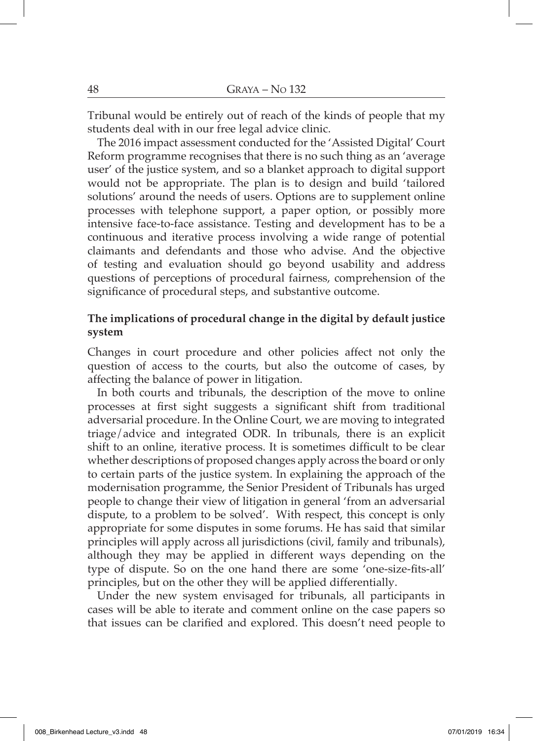Tribunal would be entirely out of reach of the kinds of people that my students deal with in our free legal advice clinic.

The 2016 impact assessment conducted for the 'Assisted Digital' Court Reform programme recognises that there is no such thing as an 'average user' of the justice system, and so a blanket approach to digital support would not be appropriate. The plan is to design and build 'tailored solutions' around the needs of users. Options are to supplement online processes with telephone support, a paper option, or possibly more intensive face-to-face assistance. Testing and development has to be a continuous and iterative process involving a wide range of potential claimants and defendants and those who advise. And the objective of testing and evaluation should go beyond usability and address questions of perceptions of procedural fairness, comprehension of the significance of procedural steps, and substantive outcome.

### **The implications of procedural change in the digital by default justice system**

Changes in court procedure and other policies affect not only the question of access to the courts, but also the outcome of cases, by affecting the balance of power in litigation.

In both courts and tribunals, the description of the move to online processes at first sight suggests a significant shift from traditional adversarial procedure. In the Online Court, we are moving to integrated triage/advice and integrated ODR. In tribunals, there is an explicit shift to an online, iterative process. It is sometimes difficult to be clear whether descriptions of proposed changes apply across the board or only to certain parts of the justice system. In explaining the approach of the modernisation programme, the Senior President of Tribunals has urged people to change their view of litigation in general 'from an adversarial dispute, to a problem to be solved'. With respect, this concept is only appropriate for some disputes in some forums. He has said that similar principles will apply across all jurisdictions (civil, family and tribunals), although they may be applied in different ways depending on the type of dispute. So on the one hand there are some 'one-size-fits-all' principles, but on the other they will be applied differentially.

Under the new system envisaged for tribunals, all participants in cases will be able to iterate and comment online on the case papers so that issues can be clarified and explored. This doesn't need people to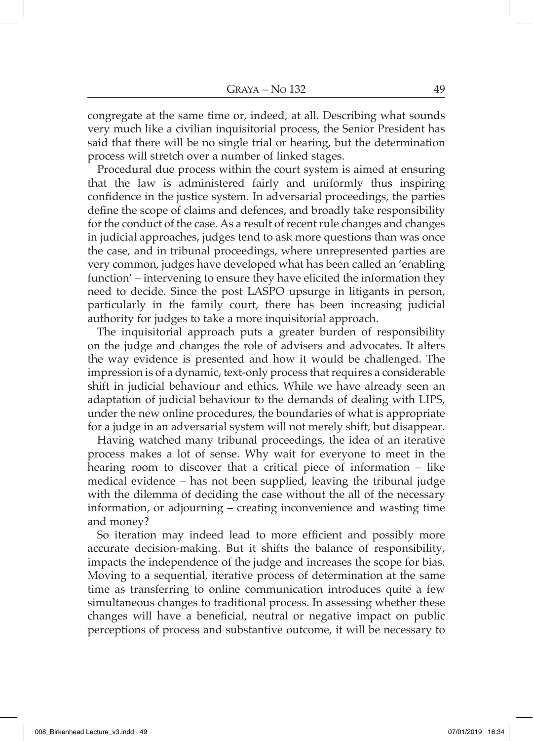congregate at the same time or, indeed, at all. Describing what sounds very much like a civilian inquisitorial process, the Senior President has said that there will be no single trial or hearing, but the determination process will stretch over a number of linked stages.

Procedural due process within the court system is aimed at ensuring that the law is administered fairly and uniformly thus inspiring confidence in the justice system. In adversarial proceedings, the parties define the scope of claims and defences, and broadly take responsibility for the conduct of the case. As a result of recent rule changes and changes in judicial approaches, judges tend to ask more questions than was once the case, and in tribunal proceedings, where unrepresented parties are very common, judges have developed what has been called an 'enabling function' – intervening to ensure they have elicited the information they need to decide. Since the post LASPO upsurge in litigants in person, particularly in the family court, there has been increasing judicial authority for judges to take a more inquisitorial approach.

The inquisitorial approach puts a greater burden of responsibility on the judge and changes the role of advisers and advocates. It alters the way evidence is presented and how it would be challenged. The impression is of a dynamic, text-only process that requires a considerable shift in judicial behaviour and ethics. While we have already seen an adaptation of judicial behaviour to the demands of dealing with LIPS, under the new online procedures, the boundaries of what is appropriate for a judge in an adversarial system will not merely shift, but disappear.

Having watched many tribunal proceedings, the idea of an iterative process makes a lot of sense. Why wait for everyone to meet in the hearing room to discover that a critical piece of information – like medical evidence – has not been supplied, leaving the tribunal judge with the dilemma of deciding the case without the all of the necessary information, or adjourning – creating inconvenience and wasting time and money?

So iteration may indeed lead to more efficient and possibly more accurate decision-making. But it shifts the balance of responsibility, impacts the independence of the judge and increases the scope for bias. Moving to a sequential, iterative process of determination at the same time as transferring to online communication introduces quite a few simultaneous changes to traditional process. In assessing whether these changes will have a beneficial, neutral or negative impact on public perceptions of process and substantive outcome, it will be necessary to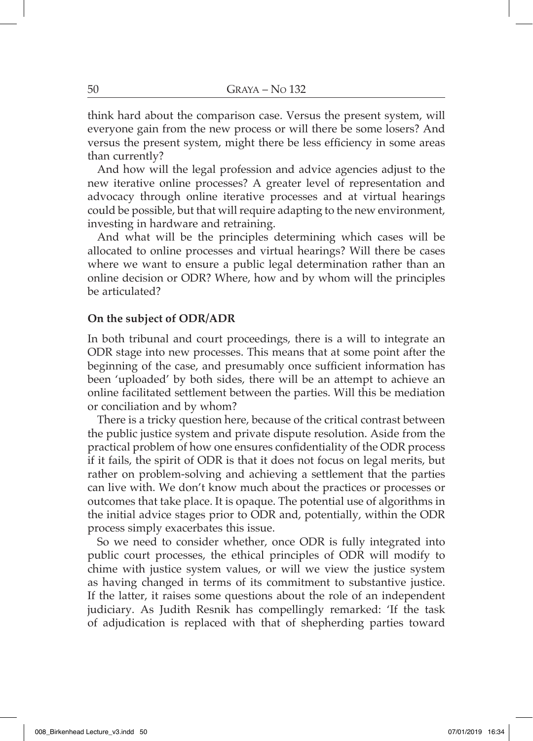think hard about the comparison case. Versus the present system, will everyone gain from the new process or will there be some losers? And versus the present system, might there be less efficiency in some areas than currently?

And how will the legal profession and advice agencies adjust to the new iterative online processes? A greater level of representation and advocacy through online iterative processes and at virtual hearings could be possible, but that will require adapting to the new environment, investing in hardware and retraining.

And what will be the principles determining which cases will be allocated to online processes and virtual hearings? Will there be cases where we want to ensure a public legal determination rather than an online decision or ODR? Where, how and by whom will the principles be articulated?

### **On the subject of ODR/ADR**

In both tribunal and court proceedings, there is a will to integrate an ODR stage into new processes. This means that at some point after the beginning of the case, and presumably once sufficient information has been 'uploaded' by both sides, there will be an attempt to achieve an online facilitated settlement between the parties. Will this be mediation or conciliation and by whom?

There is a tricky question here, because of the critical contrast between the public justice system and private dispute resolution. Aside from the practical problem of how one ensures confidentiality of the ODR process if it fails, the spirit of ODR is that it does not focus on legal merits, but rather on problem-solving and achieving a settlement that the parties can live with. We don't know much about the practices or processes or outcomes that take place. It is opaque. The potential use of algorithms in the initial advice stages prior to ODR and, potentially, within the ODR process simply exacerbates this issue.

So we need to consider whether, once ODR is fully integrated into public court processes, the ethical principles of ODR will modify to chime with justice system values, or will we view the justice system as having changed in terms of its commitment to substantive justice. If the latter, it raises some questions about the role of an independent judiciary. As Judith Resnik has compellingly remarked: 'If the task of adjudication is replaced with that of shepherding parties toward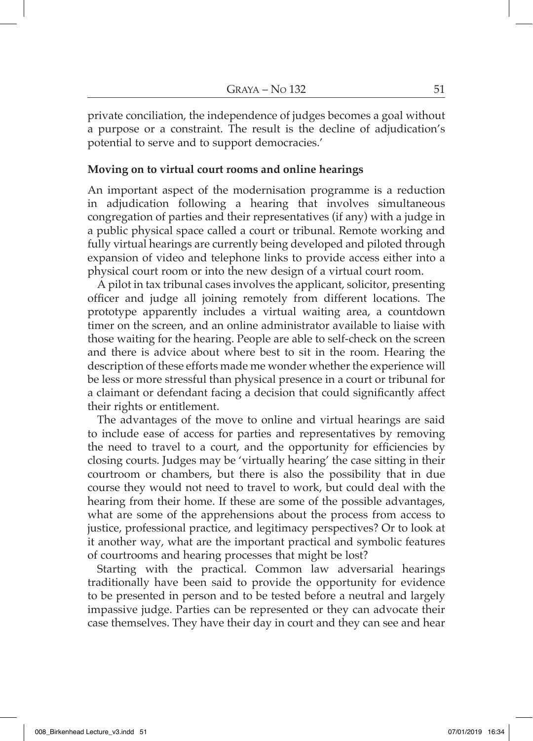private conciliation, the independence of judges becomes a goal without a purpose or a constraint. The result is the decline of adjudication's potential to serve and to support democracies.'

#### **Moving on to virtual court rooms and online hearings**

An important aspect of the modernisation programme is a reduction in adjudication following a hearing that involves simultaneous congregation of parties and their representatives (if any) with a judge in a public physical space called a court or tribunal. Remote working and fully virtual hearings are currently being developed and piloted through expansion of video and telephone links to provide access either into a physical court room or into the new design of a virtual court room.

A pilot in tax tribunal cases involves the applicant, solicitor, presenting officer and judge all joining remotely from different locations. The prototype apparently includes a virtual waiting area, a countdown timer on the screen, and an online administrator available to liaise with those waiting for the hearing. People are able to self-check on the screen and there is advice about where best to sit in the room. Hearing the description of these efforts made me wonder whether the experience will be less or more stressful than physical presence in a court or tribunal for a claimant or defendant facing a decision that could significantly affect their rights or entitlement.

The advantages of the move to online and virtual hearings are said to include ease of access for parties and representatives by removing the need to travel to a court, and the opportunity for efficiencies by closing courts. Judges may be 'virtually hearing' the case sitting in their courtroom or chambers, but there is also the possibility that in due course they would not need to travel to work, but could deal with the hearing from their home. If these are some of the possible advantages, what are some of the apprehensions about the process from access to justice, professional practice, and legitimacy perspectives? Or to look at it another way, what are the important practical and symbolic features of courtrooms and hearing processes that might be lost?

Starting with the practical. Common law adversarial hearings traditionally have been said to provide the opportunity for evidence to be presented in person and to be tested before a neutral and largely impassive judge. Parties can be represented or they can advocate their case themselves. They have their day in court and they can see and hear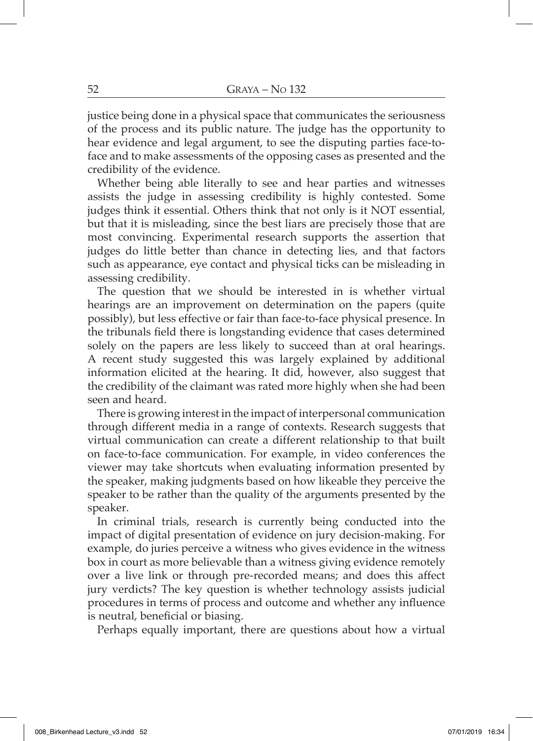justice being done in a physical space that communicates the seriousness of the process and its public nature. The judge has the opportunity to hear evidence and legal argument, to see the disputing parties face-toface and to make assessments of the opposing cases as presented and the credibility of the evidence.

Whether being able literally to see and hear parties and witnesses assists the judge in assessing credibility is highly contested. Some judges think it essential. Others think that not only is it NOT essential, but that it is misleading, since the best liars are precisely those that are most convincing. Experimental research supports the assertion that judges do little better than chance in detecting lies, and that factors such as appearance, eye contact and physical ticks can be misleading in assessing credibility.

The question that we should be interested in is whether virtual hearings are an improvement on determination on the papers (quite possibly), but less effective or fair than face-to-face physical presence. In the tribunals field there is longstanding evidence that cases determined solely on the papers are less likely to succeed than at oral hearings. A recent study suggested this was largely explained by additional information elicited at the hearing. It did, however, also suggest that the credibility of the claimant was rated more highly when she had been seen and heard.

There is growing interest in the impact of interpersonal communication through different media in a range of contexts. Research suggests that virtual communication can create a different relationship to that built on face-to-face communication. For example, in video conferences the viewer may take shortcuts when evaluating information presented by the speaker, making judgments based on how likeable they perceive the speaker to be rather than the quality of the arguments presented by the speaker.

In criminal trials, research is currently being conducted into the impact of digital presentation of evidence on jury decision-making. For example, do juries perceive a witness who gives evidence in the witness box in court as more believable than a witness giving evidence remotely over a live link or through pre-recorded means; and does this affect jury verdicts? The key question is whether technology assists judicial procedures in terms of process and outcome and whether any influence is neutral, beneficial or biasing.

Perhaps equally important, there are questions about how a virtual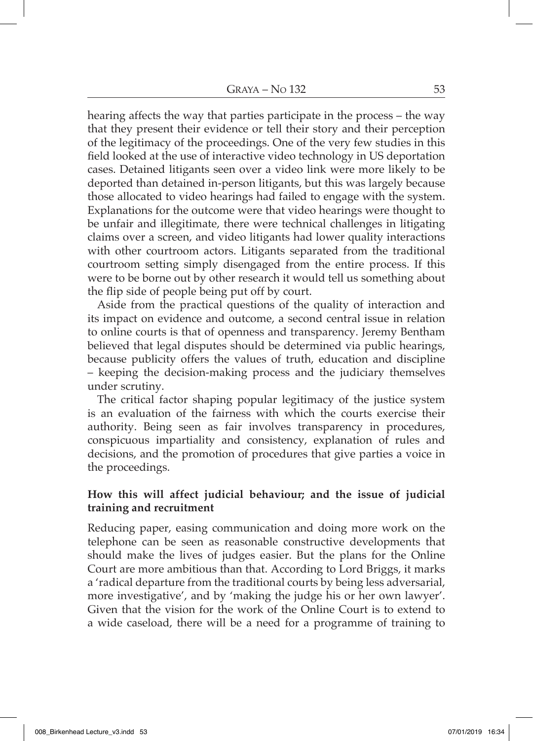hearing affects the way that parties participate in the process – the way that they present their evidence or tell their story and their perception of the legitimacy of the proceedings. One of the very few studies in this field looked at the use of interactive video technology in US deportation cases. Detained litigants seen over a video link were more likely to be deported than detained in-person litigants, but this was largely because those allocated to video hearings had failed to engage with the system. Explanations for the outcome were that video hearings were thought to be unfair and illegitimate, there were technical challenges in litigating claims over a screen, and video litigants had lower quality interactions with other courtroom actors. Litigants separated from the traditional courtroom setting simply disengaged from the entire process. If this were to be borne out by other research it would tell us something about the flip side of people being put off by court.

Aside from the practical questions of the quality of interaction and its impact on evidence and outcome, a second central issue in relation to online courts is that of openness and transparency. Jeremy Bentham believed that legal disputes should be determined via public hearings, because publicity offers the values of truth, education and discipline – keeping the decision-making process and the judiciary themselves under scrutiny.

The critical factor shaping popular legitimacy of the justice system is an evaluation of the fairness with which the courts exercise their authority. Being seen as fair involves transparency in procedures, conspicuous impartiality and consistency, explanation of rules and decisions, and the promotion of procedures that give parties a voice in the proceedings.

## **How this will affect judicial behaviour; and the issue of judicial training and recruitment**

Reducing paper, easing communication and doing more work on the telephone can be seen as reasonable constructive developments that should make the lives of judges easier. But the plans for the Online Court are more ambitious than that. According to Lord Briggs, it marks a 'radical departure from the traditional courts by being less adversarial, more investigative', and by 'making the judge his or her own lawyer'. Given that the vision for the work of the Online Court is to extend to a wide caseload, there will be a need for a programme of training to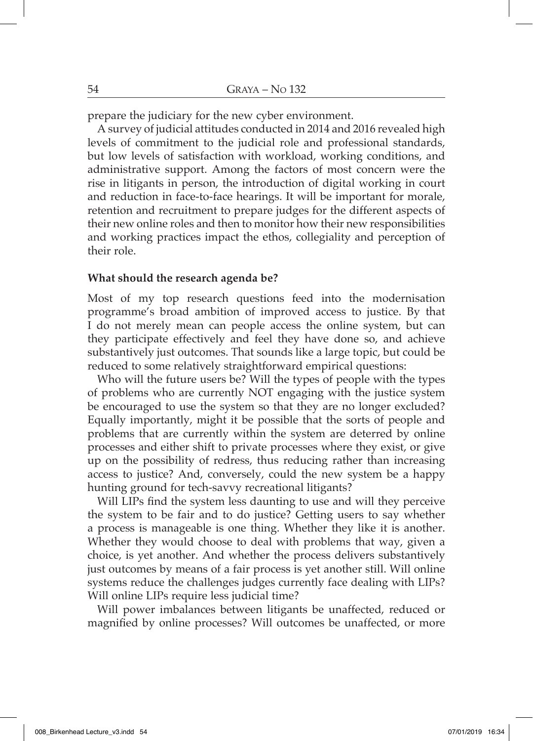prepare the judiciary for the new cyber environment.

A survey of judicial attitudes conducted in 2014 and 2016 revealed high levels of commitment to the judicial role and professional standards, but low levels of satisfaction with workload, working conditions, and administrative support. Among the factors of most concern were the rise in litigants in person, the introduction of digital working in court and reduction in face-to-face hearings. It will be important for morale, retention and recruitment to prepare judges for the different aspects of their new online roles and then to monitor how their new responsibilities and working practices impact the ethos, collegiality and perception of their role.

#### **What should the research agenda be?**

Most of my top research questions feed into the modernisation programme's broad ambition of improved access to justice. By that I do not merely mean can people access the online system, but can they participate effectively and feel they have done so, and achieve substantively just outcomes. That sounds like a large topic, but could be reduced to some relatively straightforward empirical questions:

Who will the future users be? Will the types of people with the types of problems who are currently NOT engaging with the justice system be encouraged to use the system so that they are no longer excluded? Equally importantly, might it be possible that the sorts of people and problems that are currently within the system are deterred by online processes and either shift to private processes where they exist, or give up on the possibility of redress, thus reducing rather than increasing access to justice? And, conversely, could the new system be a happy hunting ground for tech-savvy recreational litigants?

Will LIPs find the system less daunting to use and will they perceive the system to be fair and to do justice? Getting users to say whether a process is manageable is one thing. Whether they like it is another. Whether they would choose to deal with problems that way, given a choice, is yet another. And whether the process delivers substantively just outcomes by means of a fair process is yet another still. Will online systems reduce the challenges judges currently face dealing with LIPs? Will online LIPs require less judicial time?

Will power imbalances between litigants be unaffected, reduced or magnified by online processes? Will outcomes be unaffected, or more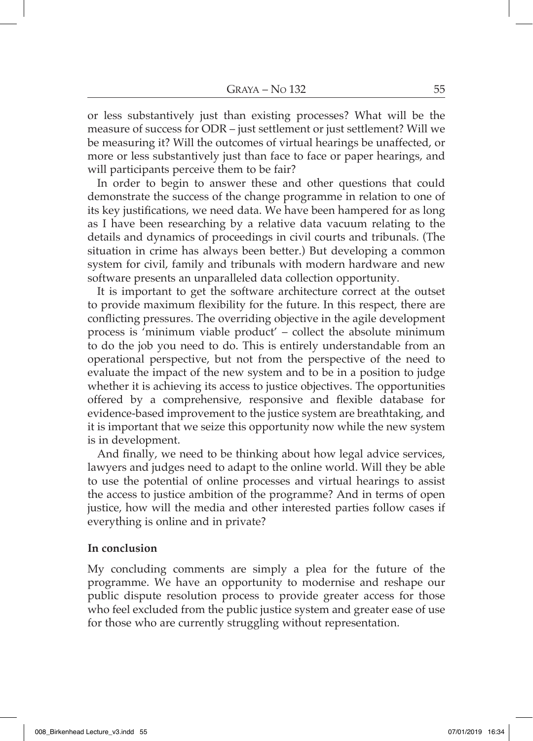or less substantively just than existing processes? What will be the measure of success for ODR – just settlement or just settlement? Will we be measuring it? Will the outcomes of virtual hearings be unaffected, or more or less substantively just than face to face or paper hearings, and will participants perceive them to be fair?

In order to begin to answer these and other questions that could demonstrate the success of the change programme in relation to one of its key justifications, we need data. We have been hampered for as long as I have been researching by a relative data vacuum relating to the details and dynamics of proceedings in civil courts and tribunals. (The situation in crime has always been better.) But developing a common system for civil, family and tribunals with modern hardware and new software presents an unparalleled data collection opportunity.

It is important to get the software architecture correct at the outset to provide maximum flexibility for the future. In this respect, there are conflicting pressures. The overriding objective in the agile development process is 'minimum viable product' – collect the absolute minimum to do the job you need to do. This is entirely understandable from an operational perspective, but not from the perspective of the need to evaluate the impact of the new system and to be in a position to judge whether it is achieving its access to justice objectives. The opportunities offered by a comprehensive, responsive and flexible database for evidence-based improvement to the justice system are breathtaking, and it is important that we seize this opportunity now while the new system is in development.

And finally, we need to be thinking about how legal advice services, lawyers and judges need to adapt to the online world. Will they be able to use the potential of online processes and virtual hearings to assist the access to justice ambition of the programme? And in terms of open justice, how will the media and other interested parties follow cases if everything is online and in private?

#### **In conclusion**

My concluding comments are simply a plea for the future of the programme. We have an opportunity to modernise and reshape our public dispute resolution process to provide greater access for those who feel excluded from the public justice system and greater ease of use for those who are currently struggling without representation.